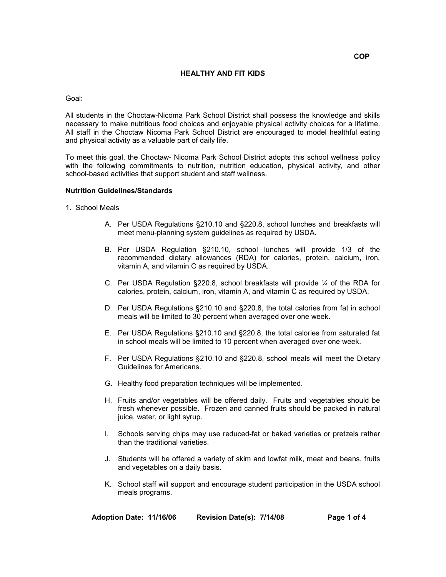# **COP**

# **HEALTHY AND FIT KIDS**

### Goal:

All students in the Choctaw-Nicoma Park School District shall possess the knowledge and skills necessary to make nutritious food choices and enjoyable physical activity choices for a lifetime. All staff in the Choctaw Nicoma Park School District are encouraged to model healthful eating and physical activity as a valuable part of daily life.

To meet this goal, the Choctaw- Nicoma Park School District adopts this school wellness policy with the following commitments to nutrition, nutrition education, physical activity, and other school-based activities that support student and staff wellness.

# **Nutrition Guidelines/Standards**

- 1. School Meals
	- A. Per USDA Regulations §210.10 and §220.8, school lunches and breakfasts will meet menu-planning system guidelines as required by USDA.
	- B. Per USDA Regulation §210.10, school lunches will provide 1/3 of the recommended dietary allowances (RDA) for calories, protein, calcium, iron, vitamin A, and vitamin C as required by USDA.
	- C. Per USDA Regulation §220.8, school breakfasts will provide ¼ of the RDA for calories, protein, calcium, iron, vitamin A, and vitamin C as required by USDA.
	- D. Per USDA Regulations §210.10 and §220.8, the total calories from fat in school meals will be limited to 30 percent when averaged over one week.
	- E. Per USDA Regulations §210.10 and §220.8, the total calories from saturated fat in school meals will be limited to 10 percent when averaged over one week.
	- F. Per USDA Regulations §210.10 and §220.8, school meals will meet the Dietary Guidelines for Americans.
	- G. Healthy food preparation techniques will be implemented.
	- H. Fruits and/or vegetables will be offered daily. Fruits and vegetables should be fresh whenever possible. Frozen and canned fruits should be packed in natural juice, water, or light syrup.
	- I. Schools serving chips may use reduced-fat or baked varieties or pretzels rather than the traditional varieties.
	- J. Students will be offered a variety of skim and lowfat milk, meat and beans, fruits and vegetables on a daily basis.
	- K. School staff will support and encourage student participation in the USDA school meals programs.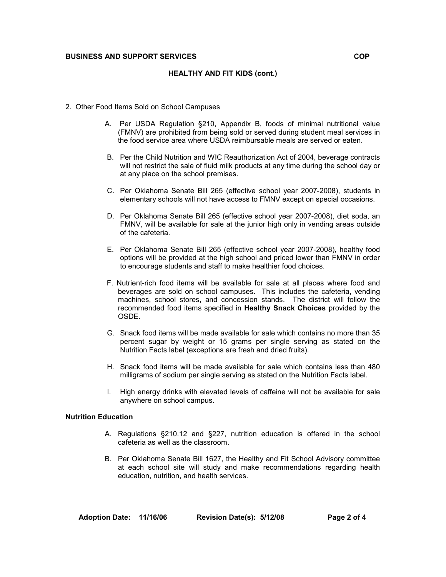# **BUSINESS AND SUPPORT SERVICES COP**

### **HEALTHY AND FIT KIDS (cont.)**

- 2. Other Food Items Sold on School Campuses
	- A. Per USDA Regulation §210, Appendix B, foods of minimal nutritional value (FMNV) are prohibited from being sold or served during student meal services in the food service area where USDA reimbursable meals are served or eaten.
	- B. Per the Child Nutrition and WIC Reauthorization Act of 2004, beverage contracts will not restrict the sale of fluid milk products at any time during the school day or at any place on the school premises.
	- C. Per Oklahoma Senate Bill 265 (effective school year 2007-2008), students in elementary schools will not have access to FMNV except on special occasions.
	- D. Per Oklahoma Senate Bill 265 (effective school year 2007-2008), diet soda, an FMNV, will be available for sale at the junior high only in vending areas outside of the cafeteria.
	- E. Per Oklahoma Senate Bill 265 (effective school year 2007-2008), healthy food options will be provided at the high school and priced lower than FMNV in order to encourage students and staff to make healthier food choices.
	- F. Nutrient-rich food items will be available for sale at all places where food and beverages are sold on school campuses. This includes the cafeteria, vending machines, school stores, and concession stands. The district will follow the recommended food items specified in **Healthy Snack Choices** provided by the OSDE.
	- G. Snack food items will be made available for sale which contains no more than 35 percent sugar by weight or 15 grams per single serving as stated on the Nutrition Facts label (exceptions are fresh and dried fruits).
	- H. Snack food items will be made available for sale which contains less than 480 milligrams of sodium per single serving as stated on the Nutrition Facts label.
	- I. High energy drinks with elevated levels of caffeine will not be available for sale anywhere on school campus.

### **Nutrition Education**

- A. Regulations §210.12 and §227, nutrition education is offered in the school cafeteria as well as the classroom.
- B. Per Oklahoma Senate Bill 1627, the Healthy and Fit School Advisory committee at each school site will study and make recommendations regarding health education, nutrition, and health services.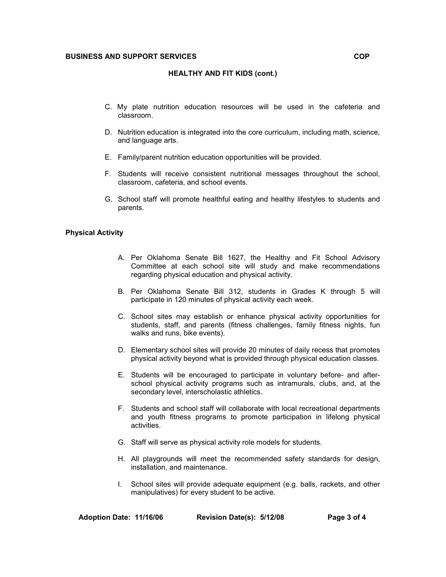# **BUSINESS AND SUPPORT SERVICES COP**

### **HEALTHY AND FIT KIDS (cont.)**

- C. My plate nutrition education resources will be used in the cafeteria and classroom.
- D. Nutrition education is integrated into the core curriculum, including math, science, and language arts.
- E. Family/parent nutrition education opportunities will be provided.
- F. Students will receive consistent nutritional messages throughout the school, classroom, cafeteria, and school events.
- G. School staff will promote healthful eating and healthy lifestyles to students and parents.

# **Physical Activity**

- A. Per Oklahoma Senate Bill 1627, the Healthy and Fit School Advisory Committee at each school site will study and make recommendations regarding physical education and physical activity.
- B. Per Oklahoma Senate Bill 312, students in Grades K through 5 will participate in 120 minutes of physical activity each week.
- C. School sites may establish or enhance physical activity opportunities for students, staff, and parents (fitness challenges, family fitness nights, fun walks and runs, bike events).
- D. Elementary school sites will provide 20 minutes of daily recess that promotes physical activity beyond what is provided through physical education classes.
- E. Students will be encouraged to participate in voluntary before- and afterschool physical activity programs such as intramurals, clubs, and, at the secondary level, interscholastic athletics.
- F. Students and school staff will collaborate with local recreational departments and youth fitness programs to promote participation in lifelong physical activities.
- G. Staff will serve as physical activity role models for students.
- H. All playgrounds will meet the recommended safety standards for design, installation, and maintenance.
- I. School sites will provide adequate equipment (e.g. balls, rackets, and other manipulatives) for every student to be active.

|  | Adoption Date: 11/16/06 | Revision Date(s): 5/12/08 | Page 3 of 4 |
|--|-------------------------|---------------------------|-------------|
|--|-------------------------|---------------------------|-------------|